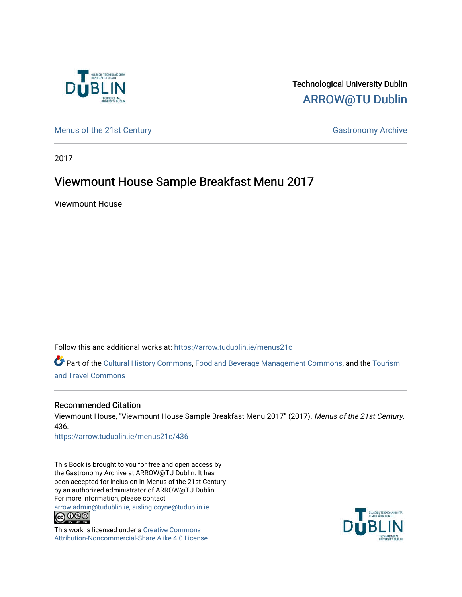

Technological University Dublin [ARROW@TU Dublin](https://arrow.tudublin.ie/) 

[Menus of the 21st Century](https://arrow.tudublin.ie/menus21c) Gastronomy Archive

2017

# Viewmount House Sample Breakfast Menu 2017

Viewmount House

Follow this and additional works at: [https://arrow.tudublin.ie/menus21c](https://arrow.tudublin.ie/menus21c?utm_source=arrow.tudublin.ie%2Fmenus21c%2F436&utm_medium=PDF&utm_campaign=PDFCoverPages) 

Part of the [Cultural History Commons](http://network.bepress.com/hgg/discipline/496?utm_source=arrow.tudublin.ie%2Fmenus21c%2F436&utm_medium=PDF&utm_campaign=PDFCoverPages), [Food and Beverage Management Commons,](http://network.bepress.com/hgg/discipline/1089?utm_source=arrow.tudublin.ie%2Fmenus21c%2F436&utm_medium=PDF&utm_campaign=PDFCoverPages) and the [Tourism](http://network.bepress.com/hgg/discipline/1082?utm_source=arrow.tudublin.ie%2Fmenus21c%2F436&utm_medium=PDF&utm_campaign=PDFCoverPages) [and Travel Commons](http://network.bepress.com/hgg/discipline/1082?utm_source=arrow.tudublin.ie%2Fmenus21c%2F436&utm_medium=PDF&utm_campaign=PDFCoverPages)

## Recommended Citation

Viewmount House, "Viewmount House Sample Breakfast Menu 2017" (2017). Menus of the 21st Century. 436.

[https://arrow.tudublin.ie/menus21c/436](https://arrow.tudublin.ie/menus21c/436?utm_source=arrow.tudublin.ie%2Fmenus21c%2F436&utm_medium=PDF&utm_campaign=PDFCoverPages) 

This Book is brought to you for free and open access by the Gastronomy Archive at ARROW@TU Dublin. It has been accepted for inclusion in Menus of the 21st Century by an authorized administrator of ARROW@TU Dublin. For more information, please contact

[arrow.admin@tudublin.ie, aisling.coyne@tudublin.ie](mailto:arrow.admin@tudublin.ie,%20aisling.coyne@tudublin.ie).<br>
co 060



This work is licensed under a [Creative Commons](http://creativecommons.org/licenses/by-nc-sa/4.0/) [Attribution-Noncommercial-Share Alike 4.0 License](http://creativecommons.org/licenses/by-nc-sa/4.0/)

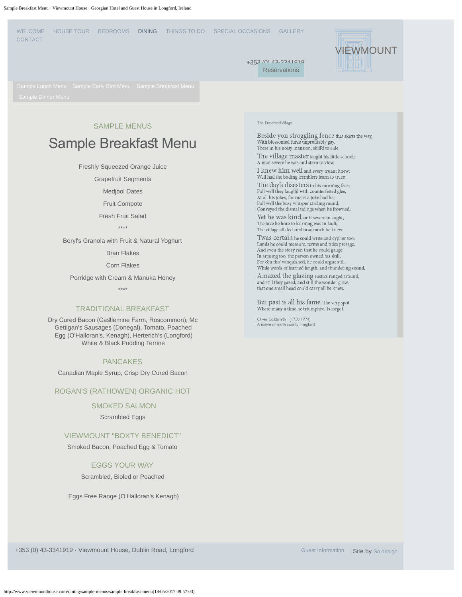<span id="page-1-0"></span>

## SAMPLE MENUS

# Sample Breakfast Menu

Freshly Squeezed Orange Juice

Grapefruit Segments

Medjool Dates

Fruit Compote

Fresh Fruit Salad

\*\*\*\*

Beryl's Granola with Fruit & Natural Yoghurt

Bran Flakes

Corn Flakes

Porridge with Cream & Manuka Honey

\*\*\*\*

#### TRADITIONAL BREAKFAST

Dry Cured Bacon (Caslemine Farm, Roscommon), Mc Gettigan's Sausages (Donegal), Tomato, Poached Egg (O'Halloran's, Kenagh), Herterich's (Longford) White & Black Pudding Terrine

#### PANCAKES

Canadian Maple Syrup, Crisp Dry Cured Bacon

### ROGAN'S (RATHOWEN) ORGANIC HOT

### SMOKED SALMON

Scrambled Eggs

#### VIEWMOUNT "BOXTY BENEDICT"

Smoked Bacon, Poached Egg & Tomato

#### EGGS YOUR WAY

Scrambled, Bioled or Poached

Eggs Free Range (O'Halloran's Kenagh)

#### The Deserted Village

Beside yon straggling fence that skirts the way, With blossomed furze unprofitably gay, There in his noisy mansion, skill'd to rule

The village master taught his little school; A man severe he was and stern to view,

I knew him well and every truant knew; Well had the boding tremblers learn to trace

The day's disasters in his morning face; Full well they laugh'd with counterfeited glee, At all his jokes, for many a joke had he;<br>Full well the busy whisper circling round, Conveyed the dismal tidings when he frowned;

Yet he was kind, or if severe in aught, The love he bore to learning was in fault;<br>The village all declared how much he knew;

Twas certain he could write and cypher too; Lands he could measure, terms and tides presage, And even the story ran that he could gauge In arguing too, the parson owned his skill, For e'en tho' vanquished, he could argue still; While words of learned length, and thundering sound, Amazed the glazing rustics ranged around,

and still they gazed, and still the wonder grew, that one small head could carry all he knew.

But past is all his fame. The very spot Where many a time he triumphed, is forgot.

Oliver Goldsmith (1730 1774) A native of south county Longford

+353 (0) 43-3341919 · Viewmount House, Dublin Road, Longford [Guest Information](http://www.viewmounthouse.com/guest-information) Site by [So design](http://so-design.co.uk/)